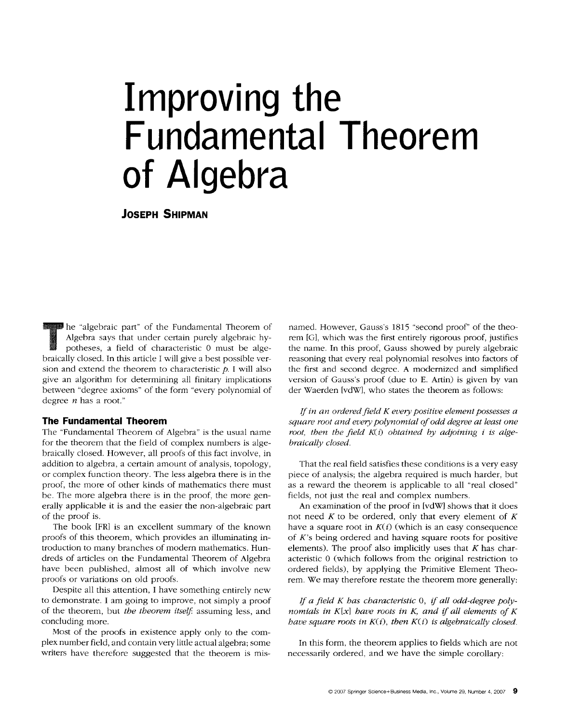# **Improving the Fundamental Theorem of Algebra**

**JOSEPH SHIPMAN** 

The "algebraic part" of the Fundamental Theorem of<br>Algebra says that under certain purely algebraic hy-<br>potheses, a field of characteristic 0 must be alge-Algebra says that under certain purely algebraic hypotheses, a field of characteristic 0 must be algebraically closed. In this article I will give a best possible version and extend the theorem to characteristic  $p$ . I will also give an algorithm for determining all finitary implications between "degree axioms" of the form "every polynomial of degree  $n$  has a root."

## **The Fundamental Theorem**

The "Fundamental Theorem of Algebra" is the usual name for the theorem that the field of complex numbers is algebraically closed. However, all proofs of this fact involve, in addition to algebra, a certain amount of analysis, topology, or complex function theory. The less algebra there is in the proof, the more of other kinds of mathematics there must be. The more algebra there is in the proof, the more generally applicable it is and the easier the non-algebraic part of the proof is.

The book [FR] is an excellent summary of the known proofs of this theorem, which provides an illuminating introduction to many branches of modern mathematics. Hundreds of articles on the Fundamental Theorem of Algebra have been published, almost all of which involve new proofs or variations on old proofs.

Despite all this attention, I have something entirely new to demonstrate. I am going to improve, not simply a proof of the theorem, but *the theorem itself*: assuming less, and concluding more.

Most of the proofs in existence apply only to the complex number field, and contain very little actual algebra; some writers have therefore suggested that the theorem is mis-

named. However, Gauss's 1815 "second proof" of the theorem [G], which was the first entirely rigorous proof, justifies the name. In this proof, Gauss showed by purely algebraic reasoning that every real polynomial resolves into factors of the first and second degree. A modernized and simplified version of Gauss's proof (due to E. Artin) is given by **van**  der Waerden [vdW], who states the theorem as follows:

*If in an ordered field K every positive element possesses a square root and every polynomial of odd degree at least one*  root, then the field K(i) obtained by adjoining *i* is alge*braically closed.* 

That the real field satisfies these conditions is a very easy piece of analysis; the algebra required is much harder, but as a reward the theorem is applicable to all "real closed" fields, not just the real and complex numbers.

An examination of the proof in [vdW] shows that it does not need  $K$  to be ordered, only that every element of  $K$ have a square root in  $K(i)$  (which is an easy consequence of K's being ordered and having square roots for positive elements). The proof also implicitly uses that  $K$  has characteristic 0 (which follows from the original restriction to ordered fields), by applying the Primitive Element Theorem. We may therefore restate the theorem more generally:

If a field K has characteristic 0, if all odd-degree poly*nomials in K[x] have roots in K, and if all elements of K have square roots in*  $K(i)$ *, then*  $K(i)$  *is algebraically closed.* 

In this form, the theorem applies to fields which are not necessarily ordered, and we have the simple corollary: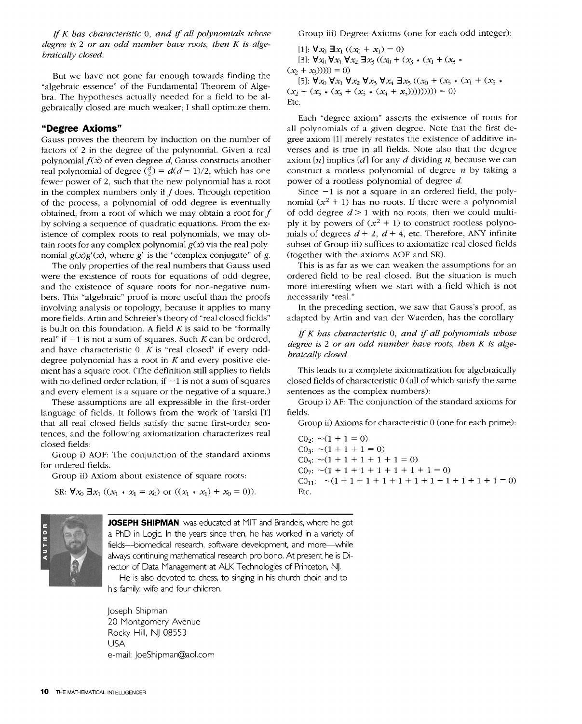*If K has characteristic O, and if all polynomials whose degree is 2 or an odd number have roots, then K is algebraically closed.* 

But we have not gone far enough towards finding the "algebraic essence" of the Fundamental Theorem of Algebra. The hypotheses actually needed for a field to be algebraically closed are much weaker; I shall optimize them.

# **"Degree Axioms"**

Gauss proves the theorem by induction on the number of factors of 2 in the degree of the polynomial. Given a real polynomial *f(x)* of even degree d, Gauss constructs another real polynomial of degree  $\binom{d}{2} = d(d-1)/2$ , which has one fewer power of 2, such that the new polynomial has a root in the complex numbers only if  $f$  does. Through repetition of the process, a polynomial of odd degree is eventually obtained, from a root of which we may obtain a root for  $f$ by solving a sequence of quadratic equations. From the existence of complex roots to real polynomials, we may obtain roots for any complex polynomial  $g(x)$  via the real polynomial  $g(x)g'(x)$ , where g' is the "complex conjugate" of g.

The only properties of the real numbers that Gauss used were the existence of roots for equations of odd degree, and the existence of square roots for non-negative numbers. This "algebraic" proof is more useful than the proofs involving analysis or topology, because it applies to many more fields. Artin and Schreier's theory of "real closed fields" is built on this foundation. A field  $K$  is said to be "formally real" if  $-1$  is not a sum of squares. Such K can be ordered, and have characteristic  $0.$  K is "real closed" if every odddegree polynomial has a root in  $K$  and every positive element has a square root. (The definition still applies to fields with no defined order relation, if  $-1$  is not a sum of squares and every element is a square or the negative of a square.)

These assumptions are all expressible in the first-order language of fields. It follows from the work of Tarski {T] that all real closed fields satisfy the same first-order sentences, and the following axiomatization characterizes real closed fields:

Group i) AOF: The conjunction of the standard axioms for ordered fields.

Group ii) Axiom about existence of square roots:

```
SR: \forall x_0 \ \exists x_1 \ ((x_1 * x_1 = x_0) \text{ or } ((x_1 * x_1) + x_0 = 0)).
```


[1]:  $\forall x_0 \exists x_1 ((x_0 + x_1) = 0)$ [3]:  $\forall x_0 \forall x_1 \forall x_2 \exists x_3 ((x_0 + (x_3 * (x_1 + (x_3 *$  $(x_2 + x_3))))$ ) = 0) [5]:  $\forall x_0 \forall x_1 \forall x_2 \forall x_3 \forall x_4 \exists x_5 ((x_0 + (x_5 * (x_1 + (x_5 *$  $(x_2 + (x_5 * (x_3 + (x_5 * (x_4 + x_5))))))) = 0$ Etc.

Each "degree axiom" asserts the existence of roots for all polynomials of a given degree. Note that the first degree axiom [1] merely restates the existence of additive inverses and is true in all fields. Note also that the degree axiom  $[n]$  implies  $[d]$  for any d dividing n, because we can construct a rootless polynomial of degree  $n$  by taking a power of a rootless polynomial of degree d.

Since  $-1$  is not a square in an ordered field, the polynomial  $(x^2 + 1)$  has no roots. If there were a polynomial of odd degree  $d > 1$  with no roots, then we could multiply it by powers of  $(x^2 + 1)$  to construct rootless polynomials of degrees  $d + 2$ ,  $d + 4$ , etc. Therefore, ANY infinite subset of Group iii) suffices to axiomatize real closed fields (together with the axioms AOF and SR).

This is as far as we can weaken the assumptions for an ordered field to be real closed. But the situation is much more interesting when we start with a field which is not necessarily "real."

In the preceding section, we saw that Gauss's proof, as adapted by Artin and van der Waerden, has the corollary

*If K has characteristic O, and if all polynomials whose degree is 2 or an odd number have roots, then K is algebraically closed.* 

This leads to a complete axiomatization for algebraically closed fields of characteristic 0 (all of which satisfy the same sentences as the complex numbers):

Group i) AF: The conjunction of the standard axioms for fields.

Group ii) Axioms for characteristic 0 (one for each prime):

 $CO_2$ :  $\sim$ (1 + 1 = 0)  $CO<sub>3</sub>: \sim (1 + 1 + 1 = 0)$  $CO<sub>5</sub>: \sim (1 + 1 + 1 + 1 + 1 = 0)$  $CO<sub>7</sub>: \sim (1 + 1 + 1 + 1 + 1 + 1 + 1 = 0)$  $CO_{11}$ :  $\sim (1+1+1+1+1+1+1+1+1+1+1=0)$ Etc.



**JOSEPH SHIPMAN** was educated at MIT and Brandeis, where he got a PhD in Logic. In the years since then, he has worked in a variety of fields--biomedical research, software development, and more while always continuing mathematical research pro bono. At present he is Director of Data Management at ALK Technologies of Princeton, NJ.

He is also devoted to chess, to singing in his church choir, and to his family: wife and four children.

Joseph Shipman 20 Montgomery Avenue Rocky Hill, NJ 08553 USA e-mail: JoeShipman@aol.com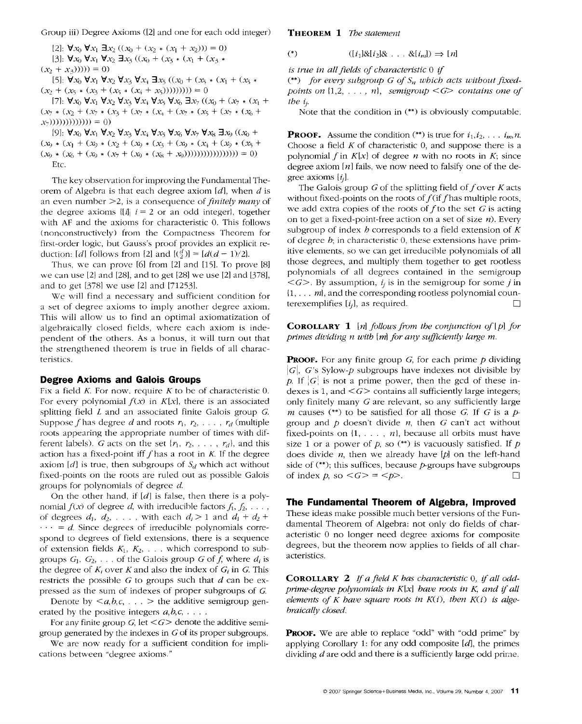Group iii) Degree Axioms ([2] and one for each odd integer)

 $[2]$ :  $\forall x_0 \forall x_1 \exists x_2 ((x_0 + (x_2 * (x_1 + x_2))) = 0)$ [3]:  $\forall x_0 \forall x_1 \forall x_2 \exists x_3 ((x_0 + (x_3 * (x_1 + (x_3 *$  $(x_2 + x_3))))$ ) = 0)

[5]:  $\forall x_0 \forall x_1 \forall x_2 \forall x_3 \forall x_4 \exists x_5 ((x_0 + (x_5 * (x_1 + (x_5 *$  $(x_2 + (x_5 * (x_3 + (x_5 * (x_4 + x_5))))))) = 0$ 

[7]:  $\forall x_0 \forall x_1 \forall x_2 \forall x_3 \forall x_4 \forall x_5 \forall x_6 \exists x_7 ((x_0 + (x_7 * (x_1 +$ (x7 9 (x2 + (x7 9 (.x3 + (x7 9 (x., + (x7 9 (x5 + (x7 9 (&, +  $(x_7))))))))))))))))$ 

[9]:  $\forall x_0 \forall x_1 \forall x_2 \forall x_3 \forall x_4 \forall x_5 \forall x_6 \forall x_7 \forall x_8 \exists x_9 ((x_0 +$  $(x_9 * (x_1 + (x_9 * (x_2 + (x_9 * (x_3 + (x_9 * (x_4 + (x_9 * (x_4 + (x_9 * (x_5 + (x_7 * (x_7))))))))$  $(x_0 * (x_0 + (x_0 * (x_7 + (x_9 * (x_8 + x_9))))))))))))))$ ))))))))))))))))))))) Etc.

The key observation for improving the Fundamental Theorem of Algebra is that each degree axiom  $[d]$ , when d is an even number >2, is a consequence *of finitely many* of the degree axioms  $\|\hat{u}\|$  i = 2 or an odd integer, together with AF and the axioms for characteristic 0. This follows (nonconstructively) from the Compactness Theorem for first-order logic, but Gauss's proof provides an explicit reduction: [*d*] follows from [2] and  $[(\frac{d}{2})] = [d(d-1)/2]$ .

Thus, we can prove [6] from [2] and [15]. To prove [8] we can use [2] and [28], and to get [28] we use [2] and [378], and to get [378] we use [2] and [71253].

We will find a necessary and sufficient condition for a set of degree axioms to imply another degree axiom. This will allow us to find an optimal axiomatization of algebraically closed fields, where each axiom is independent of the others. As a bonus, it will turn out that the strengthened theorem is true in fields of all characteristics.

### **Degree Axioms and Galois Groups**

Fix a field  $K$ . For now, require  $K$  to be of characteristic 0. For every polynomial  $f(x)$  in  $K[x]$ , there is an associated splitting field L and an associated finite Galois group G. Suppose f has degree d and roots  $r_1, r_2, \ldots, r_d$  (multiple roots appearing the appropriate number of times with different labels). G acts on the set  $\{r_1, r_2, \ldots, r_d\}$ , and this action has a fixed-point iff  $f$  has a root in  $K$ . If the degree axiom  $[d]$  is true, then subgroups of  $S_d$  which act without fixed-points on the roots are ruled out as possible Galois groups for polynomials of degree d.

On the other hand, if  $[d]$  is false, then there is a polynomial  $f(x)$  of degree d, with irreducible factors  $f_1, f_2, \ldots$ , of degrees  $d_1$ ,  $d_2$ , ..., with each  $d_i > 1$  and  $d_1 + d_2 +$  $\cdots = d$ . Since degrees of irreducible polynomials correspond to degrees of field extensions, there is a sequence of extension fields  $K_1, K_2, \ldots$  which correspond to subgroups  $G_1, G_2, \ldots$  of the Galois group G of f, where  $d_i$  is the degree of  $K_i$  over K and also the index of  $G_i$  in G. This restricts the possible  $G$  to groups such that  $d$  can be expressed as the sum of indexes of proper subgroups of G.

Denote by  $\leq a,b,c,\ldots$  > the additive semigroup generated by the positive integers *a,b,c, ....* 

For any finite group *G*, let  $\leq G$  denote the additive semigroup generated by the indexes in G of its proper subgroups.

We are now ready for a sufficient condition for implications between "degree axioms."

THEOREM 1 The *statement* 

(\*)  $([i_1] \& [i_2] \& \ldots & \& [i_m]) \Rightarrow [n]$ 

*is true in all fields of characteristic 0 if* 

(\*\*) *.for every subgroup G of S,, which acts without fixedpoints on*  $\{1,2, \ldots, n\}$ , *semigroup*  $\lt G$  *contains one of the i/.* 

Note that the condition in (\*\*) is obviously computable.

**PROOF.** Assume the condition  $(**)$  is true for  $i_1, i_2, \ldots, i_m, n$ . Choose a field  $K$  of characteristic 0, and suppose there is a polynomial f in  $K[x]$  of degree n with no roots in  $K$ ; since degree axiom  $[n]$  fails, we now need to falsify one of the degree axioms  $[t_i]$ .

The Galois group  $G$  of the splitting field of f over  $K$  acts without fixed-points on the roots of  $f$  (if f has multiple roots, we add extra copies of the roots of  $f$  to the set  $G$  is acting on to get a fixed-point-free action on a set of size  $n$ ). Every subgroup of index h corresponds to a field extension of  $K$ of degree  $b$ ; in characteristic 0, these extensions have primitive elements, so we can get irreducible polynomials of all those degrees, and multiply them together to get rootless polynomials of all degrees contained in the semigroup  $\langle G \rangle$ . By assumption,  $i_i$  is in the semigroup for some j in {1,... *m},* and the corresponding rootless polynomial counterexemplifies  $[i_j]$ , as required.  $\Box$ 

COROLLARY 1 [n] *follows from the conjunction of[p] for primes dividing n with* [m] *for any sufficiently large m.* 

**PROOF.** For any finite group  $G$ , for each prime  $p$  dividing  $|G|$ , G's Sylow-p subgroups have indexes not divisible by p. If  $|G|$  is not a prime power, then the gcd of these indexes is 1, and  $\leq G$  contains all sufficiently large integers; only finitely many G are relevant, so any sufficiently large m causes (\*\*) to be satisfied for all those G. If G is a  $p$ group and  $p$  doesn't divide  $n$ , then  $G$  can't act without fixed-points on  $\{1, \ldots, n\}$ , because all orbits must have size 1 or a power of p, so  $(**)$  is vacuously satisfied. If p does divide *n,* then we already have [p] on the left-hand side of  $(**)$ ; this suffices, because  $p$ -groups have subgroups of index  $p$ , so  $\langle G \rangle = \langle p \rangle$ .

## **The Fundamental Theorem of Algebra, Improved**

These ideas make possible much better versions of the Fundamental Theorem of Algebra: not only do fields of characteristic 0 no longer need degree axioms for composite degrees, but the theorem now applies to fields of all characteristics.

COROLLARY 2 *If afield K has characteristic O, if all oddprime-degree polynomials in K[x] have roots in K, and if all elements of K have square roots in K(i), then K(i) is algebraically closed.* 

PROOF. We are able to replace "odd" with "odd prime" by applying Corollary 1: for any odd composite [d], the primes dividing  $d$  are odd and there is a sufficiently large odd prime.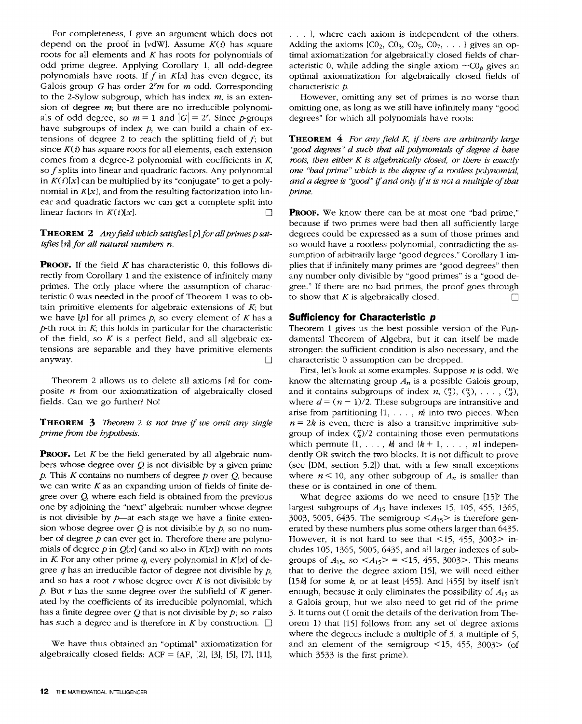For completeness, I give an argument which does not depend on the proof in [vdW]. Assume  $K(i)$  has square roots for all elements and  $K$  has roots for polynomials of odd prime degree. Applying Corollary 1, all odd-degree polynomials have roots. If  $f$  in  $K[x]$  has even degree, its Galois group G has order *2rm* for m odd. Corresponding to the 2-Sylow subgroup, which has index  $m$ , is an extension of degree  $m$ ; but there are no irreducible polynomials of odd degree, so  $m = 1$  and  $|G| = 2^r$ . Since p-groups have subgroups of index *p*, we can build a chain of extensions of degree 2 to reach the splitting field of  $f$ ; but since  $K(i)$  has square roots for all elements, each extension comes from a degree-2 polynomial with coefficients in K, so  $f$  splits into linear and quadratic factors. Any polynomial in  $K(i)[x]$  can be multiplied by its "conjugate" to get a polynomial in  $K[x]$ , and from the resulting factorization into linear and quadratic factors we can get a complete split into linear factors in  $K(i)[x]$ .

## **THEOREM 2** Any field which satisfies [p] for all primes p sat*isfies* [n] *for all natural numbers n.*

**PROOF.** If the field  $K$  has characteristic 0, this follows directly from Corollary 1 and the existence of infinitely many primes. The only place where the assumption of characteristic 0 was needed in the proof of Theorem 1 was to obtain primitive elements for algebraic extensions of  $K$ ; but we have  $[p]$  for all primes  $p$ , so every element of  $K$  has a  $p$ -th root in  $K$ ; this holds in particular for the characteristic of the field, so  $K$  is a perfect field, and all algebraic extensions are separable and they have primitive elements anyway.  $\Box$ 

Theorem 2 allows us to delete all axioms  $[n]$  for composite  $n$  from our axiomatization of algebraically closed fields. Can we go further? No!

THEOREM 3 *Theorem 2 is not true if we omit any single prime from the hypothesis.* 

**PROOF.** Let  $K$  be the field generated by all algebraic numbers whose degree over  $Q$  is not divisible by a given prime p. This K contains no numbers of degree p over *Q,* because we can write  $K$  as an expanding union of fields of finite degree over Q, where each field is obtained from the previous one by adjoining the "next" algebraic number whose degree is not divisible by  $p$ —at each stage we have a finite extension whose degree over  $Q$  is not divisible by  $p$ , so no number of degree  $p$  can ever get in. Therefore there are polynomials of degree p in  $Q[x]$  (and so also in  $K[x]$ ) with no roots in K. For any other prime q, every polynomial in  $K[x]$  of degree  $q$  has an irreducible factor of degree not divisible by  $p$ , and so has a root  $r$  whose degree over  $K$  is not divisible by  $p$ . But  $r$  has the same degree over the subfield of  $K$  generated by the coefficients of its irreducible polynomial, which has a finite degree over  $Q$  that is not divisible by  $p$ ; so r also has such a degree and is therefore in K by construction.  $\square$ 

We have thus obtained an "optimal" axiomatization for algebraically closed fields:  $ACF = {AF, [2], [3], [5], [7], [11]},$ 

. . . ), where each axiom is independent of the others. Adding the axioms  $\{CO_2, CO_3, CO_5, CO_7, \ldots\}$  gives an optimal axiomatization for algebraically closed fields of characteristic 0, while adding the single axiom  $\sim C_0$  gives an optimal axiomatization for algebraically closed fields of characteristic p.

However, omitting any set of primes is no worse than omitting one, as long as we still have infinitely many "good degrees" for which all polynomials have roots:

THEOREM 4 *For any field K, if there are arbitrarily large "good degrees" d such that all polynomials of degree d have roots, then either K is algebraically closed, or there is exactly one "bad prime" which is the degree of a rootless polynomial, and a degree is "good" if and only if it is not a multiple of that prime.* 

PROOF. We know there can be at most one "bad prime," because if two primes were bad then all sufficiently large degrees could be expressed as a sum of those primes and so would have a rootless polynomial, contradicting the assumption of arbitrarily large "good degrees." Corollary 1 implies that if infinitely many primes are "good degrees" then any number only divisible by "good primes" is a "good degree." If there are no bad primes, the proof goes through to show that K is algebraically closed.  $\Box$ 

# **Sufficiency for Characteristic p**

Theorem 1 gives us the best possible version of the Fundamental Theorem of Algebra, but it can itself be made stronger: the sufficient condition is also necessary, and the characteristic 0 assumption can be dropped.

First, let's look at some examples. Suppose  $n$  is odd. We know the alternating group  $A_n$  is a possible Galois group, and it contains subgroups of index  $n$ ,  $\binom{n}{2}$ ,  $\binom{n}{3}$ , ...,  $\binom{n}{d}$ , where  $d = (n - 1)/2$ . These subgroups are intransitive and arise from partitioning  $\{1, \ldots, n\}$  into two pieces. When  $n = 2k$  is even, there is also a transitive imprimitive subgroup of index  $\binom{n}{k}$ /2 containing those even permutations which permute  $\{1, \ldots, k\}$  and  $\{k+1, \ldots, n\}$  independently OR switch the two blocks. It is not difficult to prove (see [DM, section 5.2]) that, with a few small exceptions where  $n < 10$ , any other subgroup of  $A_n$  is smaller than these or is contained in one of them.

What degree axioms do we need to ensure [15]? The largest subgroups of  $A_{15}$  have indexes 15, 105, 455, 1365, 3003, 5005, 6435. The semigroup  $\langle A_{15} \rangle$  is therefore generated by these numbers plus some others larger than 6435. However, it is not hard to see that  $\langle 15, 455, 3003 \rangle$  includes 105, 1365, 5005, 6435, and all larger indexes of subgroups of  $A_{15}$ , so  $\langle A_{15} \rangle = \langle 15, 455, 3003 \rangle$ . This means that to derive the degree axiom [15], we will need either [15k] for some k, or at least [455]. And [455] by itself isn't enough, because it only eliminates the possibility of  $A_{15}$  as a Galois group, but we also need to get rid of the prime 3. It turns out (I omit the details of the derivation from Theorem 1) that [15] follows from any set of degree axioms where the degrees include a multiple of 3, a multiple of 5, and an element of the semigroup  $\leq$ 15, 455, 3003 $>$  (of which 3533 is the first prime).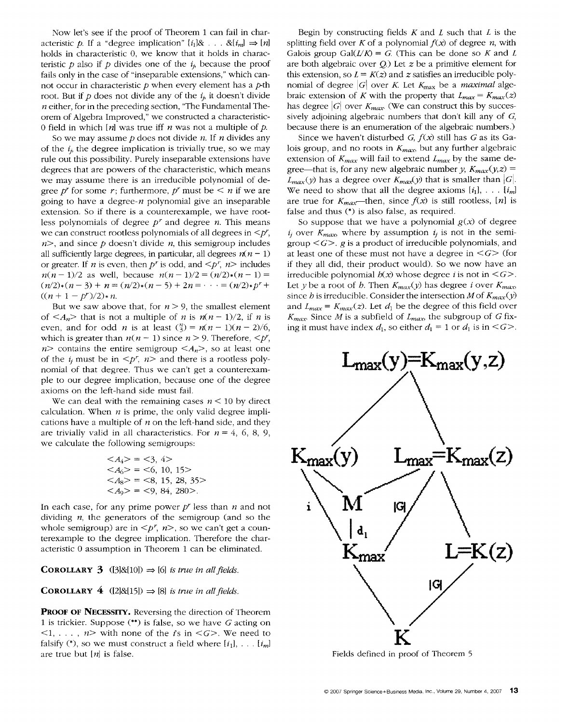Now let's see if the proof of Theorem 1 can fail in characteristic p. If a "degree implication"  $[i_1]$ & ...  $\& [i_m] \Rightarrow [n]$ holds in characteristic 0, we know that it holds in characteristic p also if p divides one of the  $i<sub>i</sub>$  because the proof fails only in the case of "inseparable extensions," which cannot occur in characteristic  $p$  when every element has a  $p$ -th root. But if  $p$  does not divide any of the  $i<sub>i</sub>$ , it doesn't divide  $n$  either, for in the preceding section, "The Fundamental Theorem of Algebra Improved," we constructed a characteristic-0 field in which  $[n]$  was true iff *n* was not a multiple of *p*.

So we may assume  $p$  does not divide  $n$ . If  $n$  divides any of the  $i<sub>i</sub>$ , the degree implication is trivially true, so we may rule out this possibility. Purely inseparable extensions have degrees that are powers of the characteristic, which means we may assume there is an irreducible polynomial of degree p<sup>r</sup> for some r; furthermore, p<sup>r</sup> must be  $\leq n$  if we are going to have a degree- $n$  polynomial give an inseparable extension. So if there is a counterexample, we have rootless polynomials of degree  $p<sup>r</sup>$  and degree  $n$ . This means we can construct rootless polynomials of all degrees in  $\leq p^r$ ,  $n$ , and since p doesn't divide n, this semigroup includes all sufficiently large degrees, in particular, all degrees  $n(n-1)$ or greater. If *n* is even, then *p*<sup>*r*</sup> is odd, and  $\leq p^r$ , *n* $>$  includes  $n(n-1)/2$  as well, because  $n(n-1)/2 = (n/2)*(n-1) =$  $(n/2)*(n-3) + n = (n/2)*(n-5) + 2n = \cdots = (n/2)*p<sup>r</sup> +$  $((n + 1 - p^r)/2)*n$ .

But we saw above that, for  $n > 9$ , the smallest element of  $\langle A_n \rangle$  that is not a multiple of *n* is  $n(n-1)/2$ , if *n* is even, and for odd *n* is at least  $\binom{n}{3} = n(n-1)(n-2)/6$ , which is greater than  $n(n - 1)$  since  $n > 9$ . Therefore,  $\langle p^r, p \rangle$  $n$  contains the entire semigroup  $\langle A_n \rangle$ , so at least one of the  $i_i$  must be in  $\leq p^r$ ,  $n>$  and there is a rootless polynomial of that degree. Thus we can't get a counterexampie to our degree implication, because one of the degree axioms on the left-hand side must fail.

We can deal with the remaining cases  $n < 10$  by direct calculation. When  $n$  is prime, the only valid degree implications have a multiple of  $n$  on the left-hand side, and they are trivially valid in all characteristics. For  $n = 4, 6, 8, 9$ , we calculate the following semigroups:

| $\langle A_4 \rangle = \langle 3, 4 \rangle$          |
|-------------------------------------------------------|
| $\langle A_6 \rangle = \langle 6, 10, 15 \rangle$     |
| $\langle A_8 \rangle = \langle 8, 15, 28, 35 \rangle$ |
| $\langle A_9 \rangle = \langle 9, 84, 280 \rangle$ .  |

In each case, for any prime power *pr* less than n and not dividing  $n$ , the generators of the semigroup (and so the whole semigroup) are in  $\leq p^r$ ,  $n$ , so we can't get a counterexample to the degree implication. Therefore the characteristic 0 assumption in Theorem 1 can be eliminated.

**COROLLARY 3** ([3]&[10])  $\Rightarrow$  [6] *is true in all fields.* 

**COROLLARY 4** ([2]&[15])  $\Rightarrow$  [8] *is true in all fields.* 

PROOF OF NECESSITY. Reversing the direction of Theorem 1 is trickier. Suppose (\*\*) is false, so we have G acting on  $\langle 1, \ldots, n \rangle$  with none of the *i*'s in  $\langle G \rangle$ . We need to falsify (\*), so we must construct a field where  $[i_1]$ , ...  $[i_m]$ are true but  $[n]$  is false.

Begin by constructing fields  $K$  and  $L$  such that  $L$  is the splitting field over K of a polynomial  $f(x)$  of degree n, with Galois group Gal $(L/K) = G$ . (This can be done so K and L are both algebraic over  $Q$ .) Let  $z$  be a primitive element for this extension, so  $L = K(z)$  and z satisfies an irreducible polynomial of degree  $|G|$  over K. Let  $K_{\text{max}}$  be a *maximal* algebraic extension of K with the property that  $L_{max} = K_{max}(z)$ has degree  $|G|$  over  $K_{max}$  (We can construct this by successively adjoining algebraic numbers that don't kill any of  $G$ , because there is an enumeration of the algebraic numbers.)

Since we haven't disturbed *G, f(x)* still has G as its Galois group, and no roots in  $K_{max}$ , but any further algebraic extension of  $K_{max}$  will fail to extend  $L_{max}$  by the same degree—that is, for any new algebraic number *y*,  $K_{max}(y, z)$  =  $L_{max}(y)$  has a degree over  $K_{max}(y)$  that is smaller than  $|G|$ . We need to show that all the degree axioms  $[i_1], \ldots, [i_m]$ are true for  $K_{max}$ --then, since  $f(x)$  is still rootless, [n] is false and thus (\*) is also false, as required.

So suppose that we have a polynomial  $g(x)$  of degree  $i_j$  over  $K_{max}$ , where by assumption  $i_j$  is not in the semigroup  $\leq G$ . g is a product of irreducible polynomials, and at least one of these must not have a degree in  $\leq G$  (for if they all did, their product would). So we now have an irreducible polynomial  $h(x)$  whose degree *i* is not in  $\leq G$ . Let *y* be a root of *b*. Then  $K_{max}(y)$  has degree *i* over  $K_{max}$ , since *h* is irreducible. Consider the intersection *M* of  $K_{max}(y)$ and  $L_{max} = K_{max}(z)$ . Let  $d_1$  be the degree of this field over *Kmax.* Since M is a subfield of *Lmax,* the subgroup of G fixing it must have index  $d_1$ , so either  $d_1 = 1$  or  $d_1$  is in <G>.



Fields defined in proof of Theorem 5